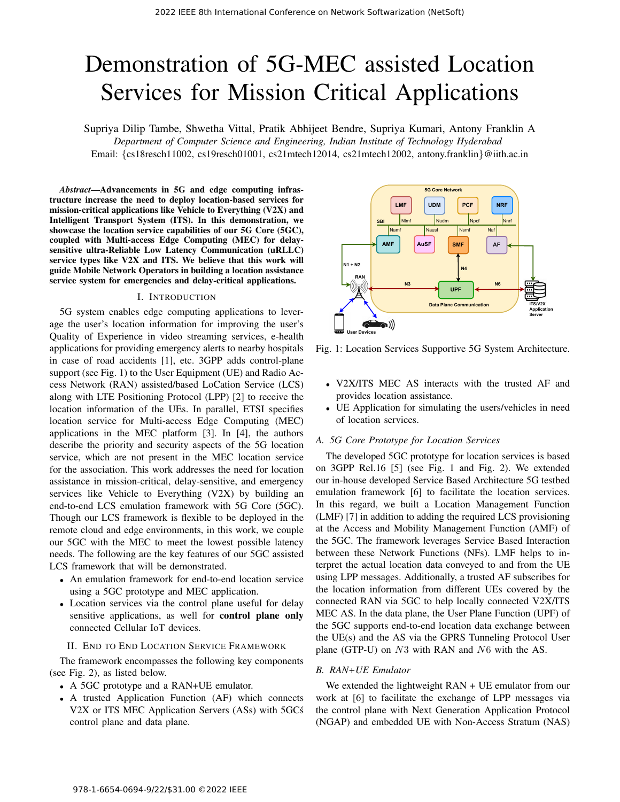# Demonstration of 5G-MEC assisted Location Services for Mission Critical Applications

Supriya Dilip Tambe, Shwetha Vittal, Pratik Abhijeet Bendre, Supriya Kumari, Antony Franklin A *Department of Computer Science and Engineering, Indian Institute of Technology Hyderabad* Email: {cs18resch11002, cs19resch01001, cs21mtech12014, cs21mtech12002, antony.franklin}@iith.ac.in

*Abstract*—Advancements in 5G and edge computing infrastructure increase the need to deploy location-based services for mission-critical applications like Vehicle to Everything (V2X) and Intelligent Transport System (ITS). In this demonstration, we showcase the location service capabilities of our 5G Core (5GC), coupled with Multi-access Edge Computing (MEC) for delaysensitive ultra-Reliable Low Latency Communication (uRLLC) service types like V2X and ITS. We believe that this work will guide Mobile Network Operators in building a location assistance service system for emergencies and delay-critical applications.

#### I. INTRODUCTION

5G system enables edge computing applications to leverage the user's location information for improving the user's Quality of Experience in video streaming services, e-health applications for providing emergency alerts to nearby hospitals in case of road accidents [1], etc. 3GPP adds control-plane support (see Fig. 1) to the User Equipment (UE) and Radio Access Network (RAN) assisted/based LoCation Service (LCS) along with LTE Positioning Protocol (LPP) [2] to receive the location information of the UEs. In parallel, ETSI specifies location service for Multi-access Edge Computing (MEC) applications in the MEC platform [3]. In [4], the authors describe the priority and security aspects of the 5G location service, which are not present in the MEC location service for the association. This work addresses the need for location assistance in mission-critical, delay-sensitive, and emergency services like Vehicle to Everything (V2X) by building an end-to-end LCS emulation framework with 5G Core (5GC). Though our LCS framework is flexible to be deployed in the remote cloud and edge environments, in this work, we couple our 5GC with the MEC to meet the lowest possible latency needs. The following are the key features of our 5GC assisted LCS framework that will be demonstrated.

- An emulation framework for end-to-end location service using a 5GC prototype and MEC application.
- Location services via the control plane useful for delay sensitive applications, as well for **control plane only** connected Cellular IoT devices.

#### II. END TO END LOCATION SERVICE FRAMEWORK

The framework encompasses the following key components (see Fig. 2), as listed below.

- A 5GC prototype and a RAN+UE emulator.
- A trusted Application Function (AF) which connects V2X or ITS MEC Application Servers (ASs) with 5GCs´ control plane and data plane.



Fig. 1: Location Services Supportive 5G System Architecture.

- V2X/ITS MEC AS interacts with the trusted AF and provides location assistance.
- UE Application for simulating the users/vehicles in need of location services.

## *A. 5G Core Prototype for Location Services*

The developed 5GC prototype for location services is based on 3GPP Rel.16 [5] (see Fig. 1 and Fig. 2). We extended our in-house developed Service Based Architecture 5G testbed emulation framework [6] to facilitate the location services. In this regard, we built a Location Management Function (LMF) [7] in addition to adding the required LCS provisioning at the Access and Mobility Management Function (AMF) of the 5GC. The framework leverages Service Based Interaction between these Network Functions (NFs). LMF helps to interpret the actual location data conveyed to and from the UE using LPP messages. Additionally, a trusted AF subscribes for the location information from different UEs covered by the connected RAN via 5GC to help locally connected V2X/ITS MEC AS. In the data plane, the User Plane Function (UPF) of the 5GC supports end-to-end location data exchange between the UE(s) and the AS via the GPRS Tunneling Protocol User plane (GTP-U) on N3 with RAN and N6 with the AS.

#### *B. RAN+UE Emulator*

We extended the lightweight RAN + UE emulator from our work at [6] to facilitate the exchange of LPP messages via the control plane with Next Generation Application Protocol (NGAP) and embedded UE with Non-Access Stratum (NAS)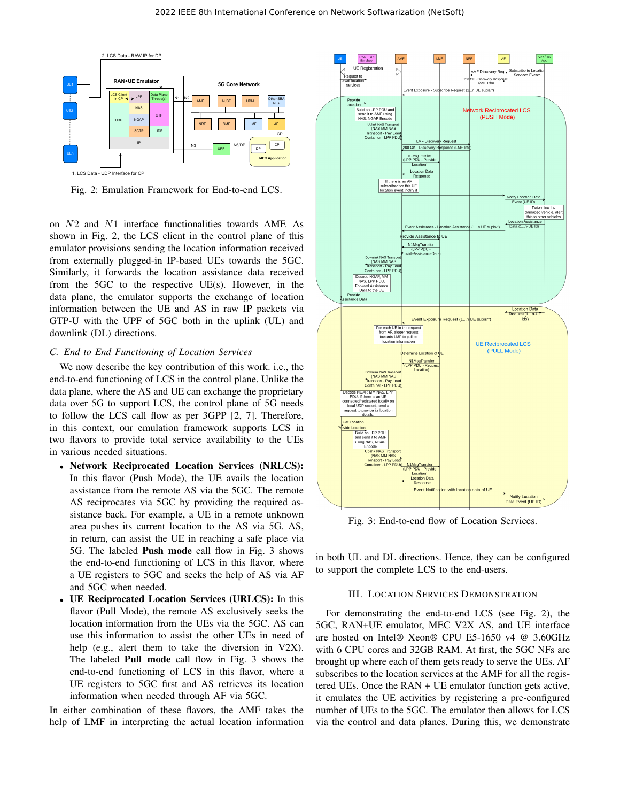

Fig. 2: Emulation Framework for End-to-end LCS.

on N2 and N1 interface functionalities towards AMF. As shown in Fig. 2, the LCS client in the control plane of this emulator provisions sending the location information received from externally plugged-in IP-based UEs towards the 5GC. Similarly, it forwards the location assistance data received from the 5GC to the respective UE(s). However, in the data plane, the emulator supports the exchange of location information between the UE and AS in raw IP packets via GTP-U with the UPF of 5GC both in the uplink (UL) and downlink (DL) directions.

#### *C. End to End Functioning of Location Services*

We now describe the key contribution of this work. i.e., the end-to-end functioning of LCS in the control plane. Unlike the data plane, where the AS and UE can exchange the proprietary data over 5G to support LCS, the control plane of 5G needs to follow the LCS call flow as per 3GPP [2, 7]. Therefore, in this context, our emulation framework supports LCS in two flavors to provide total service availability to the UEs in various needed situations.

- Network Reciprocated Location Services (NRLCS): In this flavor (Push Mode), the UE avails the location assistance from the remote AS via the 5GC. The remote AS reciprocates via 5GC by providing the required assistance back. For example, a UE in a remote unknown area pushes its current location to the AS via 5G. AS, in return, can assist the UE in reaching a safe place via 5G. The labeled Push mode call flow in Fig. 3 shows the end-to-end functioning of LCS in this flavor, where a UE registers to 5GC and seeks the help of AS via AF and 5GC when needed.
- UE Reciprocated Location Services (URLCS): In this flavor (Pull Mode), the remote AS exclusively seeks the location information from the UEs via the 5GC. AS can use this information to assist the other UEs in need of help (e.g., alert them to take the diversion in V2X). The labeled Pull mode call flow in Fig. 3 shows the end-to-end functioning of LCS in this flavor, where a UE registers to 5GC first and AS retrieves its location information when needed through AF via 5GC.

In either combination of these flavors, the AMF takes the help of LMF in interpreting the actual location information



Fig. 3: End-to-end flow of Location Services.

in both UL and DL directions. Hence, they can be configured to support the complete LCS to the end-users.

#### III. LOCATION SERVICES DEMONSTRATION

For demonstrating the end-to-end LCS (see Fig. 2), the 5GC, RAN+UE emulator, MEC V2X AS, and UE interface are hosted on Intel® Xeon® CPU E5-1650 v4 @ 3.60GHz with 6 CPU cores and 32GB RAM. At first, the 5GC NFs are brought up where each of them gets ready to serve the UEs. AF subscribes to the location services at the AMF for all the registered UEs. Once the RAN + UE emulator function gets active, it emulates the UE activities by registering a pre-configured number of UEs to the 5GC. The emulator then allows for LCS via the control and data planes. During this, we demonstrate